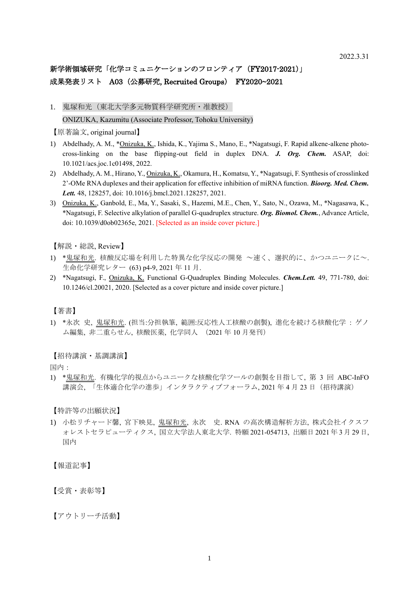## 新学術領域研究「化学コミュニケーションのフロンティア (FY2017-2021)」 成果発表リスト A03 (公募研究, Recruited Groups) FY2020~2021

1. 鬼塚和光 (東北大学多元物質科学研究所・准教授) ONIZUKA, Kazumitu (Associate Professor, Tohoku University)

【原著論文, original journal】

- 1) Abdelhady, A. M., \*Onizuka, K., Ishida, K., Yajima S., Mano, E., \*Nagatsugi, F. Rapid alkene-alkene photocross-linking on the base flipping-out field in duplex DNA. *J. Org. Chem.* ASAP, doi: 10.1021/acs.joc.1c01498, 2022.
- 2) Abdelhady, A. M., Hirano, Y., Onizuka, K., Okamura, H., Komatsu, Y., \*Nagatsugi, F. Synthesis of crosslinked 2'-OMe RNA duplexes and their application for effective inhibition of miRNA function. *Bioorg. Med. Chem. Lett.* 48, 128257, doi: 10.1016/j.bmcl.2021.128257, 2021.
- 3) Onizuka, K., Ganbold, E., Ma, Y., Sasaki, S., Hazemi, M.E., Chen, Y., Sato, N., Ozawa, M., \*Nagasawa, K., \*Nagatsugi, F. Selective alkylation of parallel G-quadruplex structure. *Org. Biomol. Chem.*, Advance Article, doi: 10.1039/d0ob02365e, 2021. [Selected as an inside cover picture.]

【解説・総説, Review】

- 1) \*鬼塚和光. 核酸反応場を利用した特異な化学反応の開発 ~速く、選択的に、かつユニークに~. 生命化学研究レター (63) p4-9, 2021 年 11 月.
- 2) \*Nagatsugi, F., Onizuka, K. Functional G-Quadruplex Binding Molecules. *Chem.Lett.* 49, 771-780, doi: 10.1246/cl.20021, 2020. [Selected as a cover picture and inside cover picture.]

【著書】

1) \*永次 史, 鬼塚和光. (担当:分担執筆, 範囲:反応性人工核酸の創製), 進化を続ける核酸化学 : ゲノ ム編集, 非二重らせん, 核酸医薬, 化学同人 (2021 年 10 月発刊)

【招待講演・基調講演】

国内:

1) \*鬼塚和光. 有機化学的視点からユニークな核酸化学ツールの創製を目指して, 第 3 回 ABC-InFO 講演会, 「生体適合化学の進歩」インタラクティブフォーラム, 2021 年 4 月 23 日(招待講演)

【特許等の出願状況】

1) 小松リチャード馨, 宮下映見, 鬼塚和光, 永次 史. RNA の高次構造解析方法, 株式会社イクスフ ォレストセラピューティクス, 国立大学法人東北大学. 特願 2021-054713, 出願日 2021 年 3 月 29 日, 国内

【報道記事】

【受賞・表彰等】

【アウトリーチ活動】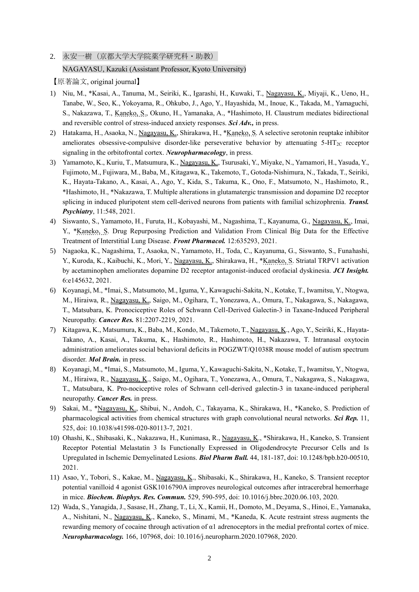## 2. 永安一樹 (京都大学大学院薬学研究科·助教) NAGAYASU, Kazuki (Assistant Professor, Kyoto University)

【原著論文, original journal】

- 1) Niu, M., \*Kasai, A., Tanuma, M., Seiriki, K., Igarashi, H., Kuwaki, T., Nagayasu, K., Miyaji, K., Ueno, H., Tanabe, W., Seo, K., Yokoyama, R., Ohkubo, J., Ago, Y., Hayashida, M., Inoue, K., Takada, M., Yamaguchi, S., Nakazawa, T., Kaneko, S., Okuno, H., Yamanaka, A., \*Hashimoto, H. Claustrum mediates bidirectional and reversible control of stress-induced anxiety responses. *Sci Adv.,* in press.
- 2) Hatakama, H., Asaoka, N., Nagayasu, K., Shirakawa, H., \*Kaneko, S. A selective serotonin reuptake inhibitor ameliorates obsessive-compulsive disorder-like perseverative behavior by attenuating  $5-HT_{2C}$  receptor signaling in the orbitofrontal cortex. *Neuropharmacology*, in press.
- 3) Yamamoto, K., Kuriu, T., Matsumura, K., Nagayasu, K., Tsurusaki, Y., Miyake, N., Yamamori, H., Yasuda, Y., Fujimoto, M., Fujiwara, M., Baba, M., Kitagawa, K., Takemoto, T., Gotoda-Nishimura, N., Takada, T., Seiriki, K., Hayata-Takano, A., Kasai, A., Ago, Y., Kida, S., Takuma, K., Ono, F., Matsumoto, N., Hashimoto, R., \*Hashimoto, H., \*Nakazawa, T. Multiple alterations in glutamatergic transmission and dopamine D2 receptor splicing in induced pluripotent stem cell-derived neurons from patients with familial schizophrenia. *Transl. Psychiatry*, 11:548, 2021.
- 4) Siswanto, S., Yamamoto, H., Furuta, H., Kobayashi, M., Nagashima, T., Kayanuma, G., Nagayasu, K., Imai, Y., \*Kaneko, S. Drug Repurposing Prediction and Validation From Clinical Big Data for the Effective Treatment of Interstitial Lung Disease. *Front Pharmacol.* 12:635293, 2021.
- 5) Nagaoka, K., Nagashima, T., Asaoka, N., Yamamoto, H., Toda, C., Kayanuma, G., Siswanto, S., Funahashi, Y., Kuroda, K., Kaibuchi, K., Mori, Y., Nagayasu, K., Shirakawa, H., \*Kaneko, S. Striatal TRPV1 activation by acetaminophen ameliorates dopamine D2 receptor antagonist-induced orofacial dyskinesia. *JCI Insight.* 6:e145632, 2021.
- 6) Koyanagi, M., \*Imai, S., Matsumoto, M., Iguma, Y., Kawaguchi-Sakita, N., Kotake, T., Iwamitsu, Y., Ntogwa, M., Hiraiwa, R., Nagayasu, K., Saigo, M., Ogihara, T., Yonezawa, A., Omura, T., Nakagawa, S., Nakagawa, T., Matsubara, K. Pronociceptive Roles of Schwann Cell-Derived Galectin-3 in Taxane-Induced Peripheral Neuropathy. *Cancer Res.* 81:2207-2219, 2021.
- 7) Kitagawa, K., Matsumura, K., Baba, M., Kondo, M., Takemoto, T., Nagayasu, K., Ago, Y., Seiriki, K., Hayata-Takano, A., Kasai, A., Takuma, K., Hashimoto, R., Hashimoto, H., Nakazawa, T. Intranasal oxytocin administration ameliorates social behavioral deficits in POGZWT/Q1038R mouse model of autism spectrum disorder. *Mol Brain.* in press.
- 8) Koyanagi, M., \*Imai, S., Matsumoto, M., Iguma, Y., Kawaguchi-Sakita, N., Kotake, T., Iwamitsu, Y., Ntogwa, M., Hiraiwa, R., *Nagayasu, K.*, Saigo, M., Ogihara, T., Yonezawa, A., Omura, T., Nakagawa, S., Nakagawa, T., Matsubara, K. Pro-nociceptive roles of Schwann cell-derived galectin-3 in taxane-induced peripheral neuropathy. *Cancer Res.* in press.
- 9) Sakai, M., \*Nagayasu, K., Shibui, N., Andoh, C., Takayama, K., Shirakawa, H., \*Kaneko, S. Prediction of pharmacological activities from chemical structures with graph convolutional neural networks. *Sci Rep.* 11, 525, doi: 10.1038/s41598-020-80113-7, 2021.
- 10) Ohashi, K., Shibasaki, K., Nakazawa, H., Kunimasa, R., Nagayasu, K., \*Shirakawa, H., Kaneko, S. Transient Receptor Potential Melastatin 3 Is Functionally Expressed in Oligodendrocyte Precursor Cells and Is Upregulated in Ischemic Demyelinated Lesions. *Biol Pharm Bull.* 44, 181-187, doi: 10.1248/bpb.b20-00510, 2021.
- 11) Asao, Y., Tobori, S., Kakae, M., Nagayasu, K., Shibasaki, K., Shirakawa, H., Kaneko, S. Transient receptor potential vanilloid 4 agonist GSK1016790A improves neurological outcomes after intracerebral hemorrhage in mice. *Biochem. Biophys. Res. Commun.* 529, 590-595, doi: 10.1016/j.bbrc.2020.06.103, 2020.
- 12) Wada, S., Yanagida, J., Sasase, H., Zhang, T., Li, X., Kamii, H., Domoto, M., Deyama, S., Hinoi, E., Yamanaka, A., Nishitani, N., Nagayasu, K., Kaneko, S., Minami, M., \*Kaneda, K. Acute restraint stress augments the rewarding memory of cocaine through activation of α1 adrenoceptors in the medial prefrontal cortex of mice. *Neuropharmacology.* 166, 107968, doi: 10.1016/j.neuropharm.2020.107968, 2020.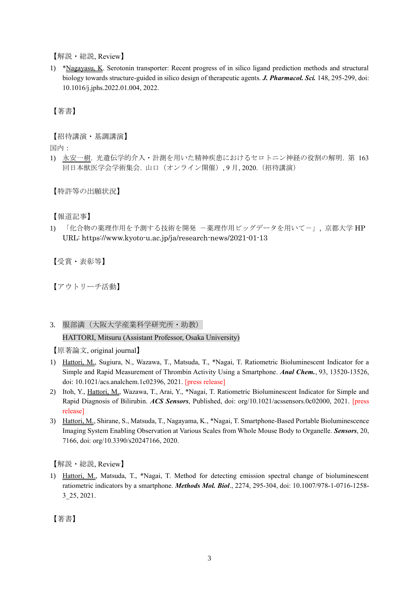【解説・総説, Review】

1) \*Nagayasu, K. Serotonin transporter: Recent progress of in silico ligand prediction methods and structural biology towards structure-guided in silico design of therapeutic agents. *J. Pharmacol. Sci.* 148, 295-299, doi: 10.1016/j.jphs.2022.01.004, 2022.

【著書】

【招待講演・基調講演】

国内:

1) 永安一樹. 光遺伝学的介入・計測を用いた精神疾患におけるセロトニン神経の役割の解明. 第 163 回日本獣医学会学術集会. 山口(オンライン開催), 9 月, 2020.(招待講演)

【特許等の出願状況】

【報道記事】

1) 「化合物の薬理作用を予測する技術を開発 -薬理作用ビッグデータを用いて-」, 京都大学 HP URL: https://www.kyoto-u.ac.jp/ja/research-news/2021-01-13

【受賞・表彰等】

【アウトリーチ活動】

3. 服部満(大阪大学産業科学研究所・助教)

HATTORI, Mitsuru (Assistant Professor, Osaka University)

【原著論文, original journal】

- 1) Hattori, M., Sugiura, N., Wazawa, T., Matsuda, T., \*Nagai, T. Ratiometric Bioluminescent Indicator for a Simple and Rapid Measurement of Thrombin Activity Using a Smartphone. *Anal Chem.*, 93, 13520-13526, doi: 10.1021/acs.analchem.1c02396, 2021. [press release]
- 2) Itoh, Y., Hattori, M., Wazawa, T., Arai, Y., \*Nagai, T. Ratiometric Bioluminescent Indicator for Simple and Rapid Diagnosis of Bilirubin. *ACS Sensors*, Published, doi: org/10.1021/acssensors.0c02000, 2021. [press release]
- 3) Hattori, M., Shirane, S., Matsuda, T., Nagayama, K., \*Nagai, T. Smartphone-Based Portable Bioluminescence Imaging System Enabling Observation at Various Scales from Whole Mouse Body to Organelle. *Sensors*, 20, 7166, doi: org/10.3390/s20247166, 2020.

【解説・総説, Review】

1) Hattori, M., Matsuda, T., \*Nagai, T. Method for detecting emission spectral change of bioluminescent ratiometric indicators by a smartphone. *Methods Mol. Biol*., 2274, 295-304, doi: 10.1007/978-1-0716-1258- 3\_25, 2021.

【著書】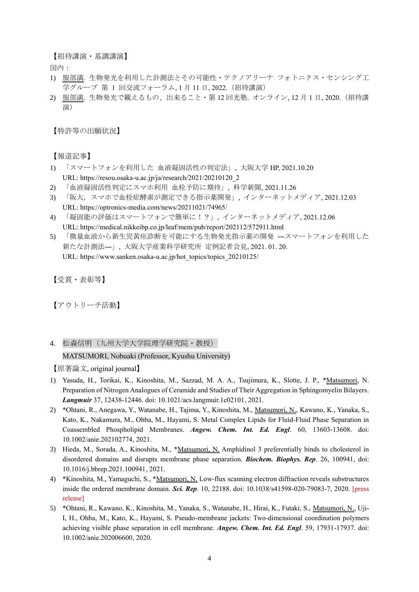【招待講演・基調講演】

国内:

- 1) 服部満. 生物発光を利用した計測法とその可能性・テクノアリーナ フォトニクス・センシング工 学グループ 第 1 回交流フォーラム, 1 月 11 日, 2022.(招待講演)
- 2) 服部満. 生物発光で観えるもの、出来ること・第 12 回光塾. オンライン, 12 月 1 日, 2020.(招待講 演)

【特許等の出願状況】

【報道記事】

- 1) 「スマートフォンを利用した 血液凝固活性の判定法」, 大阪大学 HP, 2021.10.20 URL: https://resou.osaka-u.ac.jp/ja/research/2021/20210120\_2
- 2) 「血液凝固活性判定にスマホ利用 血栓予防に期待」, 科学新聞, 2021.11.26
- 3) 「阪大,スマホで血栓症酵素が測定できる指示薬開発」, インターネットメディア, 2021.12.03 URL: https://optronics-media.com/news/20211021/74965/
- 4) 「凝固能の評価はスマートフォンで簡単に!?」, インターネットメディア, 2021.12.06 URL: https://medical.nikkeibp.co.jp/leaf/mem/pub/report/202112/572911.html
- 5) 「微量血液から新生児黄疸診断を可能にする生物発光指示薬の開発 ―スマートフォンを利用した 新たな計測法―」, 大阪大学産業科学研究所 定例記者会見, 2021. 01. 20. URL: https://www.sanken.osaka-u.ac.jp/hot\_topics/topics\_20210125/

【受賞・表彰等】

【アウトリーチ活動】

4. 松森信明(九州大学大学院理学研究院・教授)

## MATSUMORI, Nobuaki (Professor, Kyushu University)

【原著論文, original journal】

- 1) Yasuda, H., Torikai, K., Kinoshita, M., Sazzad, M. A. A., Tsujimura, K., Slotte, J. P., \*Matsumori, N. Preparation of Nitrogen Analogues of Ceramide and Studies of Their Aggregation in Sphingomyelin Bilayers. *Langmuir* 37, 12438-12446. doi: 10.1021/acs.langmuir.1c02101, 2021.
- 2) \*Ohtani, R., Anegawa, Y., Watanabe, H., Tajima, Y., Kinoshita, M., Matsumori, N., Kawano, K., Yanaka, S., Kato, K., Nakamura, M., Ohba, M., Hayami, S. Metal Complex Lipids for Fluid-Fluid Phase Separation in Coassembled Phospholipid Membranes. *Angew. Chem. Int. Ed. Engl*. 60, 13603-13608. doi: 10.1002/anie.202102774, 2021.
- 3) Hieda, M., Sorada, A., Kinoshita, M., \*Matsumori, N. Amphidinol 3 preferentially binds to cholesterol in disordered domains and disrupts membrane phase separation. *Biochem. Biophys. Rep*. 26, 100941, doi: 10.1016/j.bbrep.2021.100941, 2021.
- 4) \*Kinoshita, M., Yamaguchi, S., \*Matsumori, N. Low-flux scanning electron diffraction reveals substructures inside the ordered membrane domain. *Sci. Rep*. 10, 22188. doi: 10.1038/s41598-020-79083-7, 2020. [press release]
- 5) \*Ohtani, R., Kawano, K., Kinoshita, M., Yanaka, S., Watanabe, H., Hirai, K., Futaki, S., Matsumori, N., Uji-I, H., Ohba, M., Kato, K., Hayami, S. Pseudo-membrane jackets: Two-dimensional coordination polymers achieving visible phase separation in cell membrane. *Angew. Chem. Int. Ed. Engl*. 59, 17931-17937. doi: 10.1002/anie.202006600, 2020.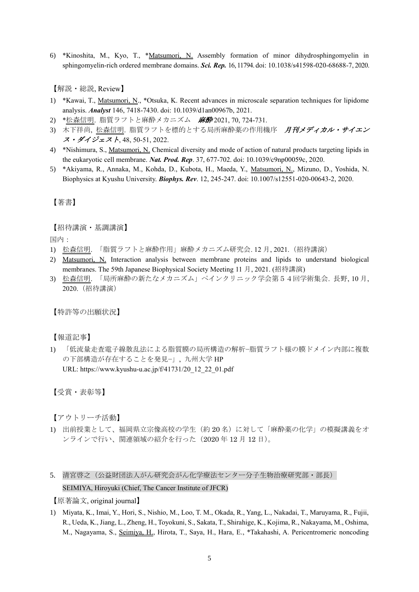6) \*Kinoshita, M., Kyo, T., \*Matsumori, N. Assembly formation of minor dihydrosphingomyelin in sphingomyelin-rich ordered membrane domains. *Sci. Rep.* 16, 11794. doi: 10.1038/s41598-020-68688-7, 2020.

【解説・総説, Review】

- 1) \*Kawai, T., Matsumori, N., \*Otsuka, K. Recent advances in microscale separation techniques for lipidome analysis. *Analyst* 146, 7418-7430. doi: 10.1039/d1an00967b, 2021.
- 2) \*松森信明. 脂質ラフトと麻酔メカニズム 麻酔 2021, 70, 724-731.
- 3) 木下祥尚, 松森信明. 脂質ラフトを標的とする局所麻酔薬の作用機序 月刊メディカル・サイエン ス・ダイジェスト, 48, 50-51, 2022.
- 4) \*Nishimura, S., Matsumori, N. Chemical diversity and mode of action of natural products targeting lipids in the eukaryotic cell membrane. *Nat. Prod. Rep*. 37, 677-702. doi: 10.1039/c9np00059c, 2020.
- 5) \*Akiyama, R., Annaka, M., Kohda, D., Kubota, H., Maeda, Y., Matsumori, N., Mizuno, D., Yoshida, N. Biophysics at Kyushu University. *Biophys. Rev*. 12, 245-247. doi: 10.1007/s12551-020-00643-2, 2020.

【著書】

【招待講演・基調講演】

国内:

- 1) 松森信明. 「脂質ラフトと麻酔作用」麻酔メカニズム研究会. 12 月, 2021.(招待講演)
- 2) Matsumori, N. Interaction analysis between membrane proteins and lipids to understand biological membranes. The 59th Japanese Biophysical Society Meeting 11 月, 2021. (招待講演)
- 3) 松森信明. 「局所麻酔の新たなメカニズム」ペインクリニック学会第54回学術集会. 長野, 10 月, 2020.(招待講演)

【特許等の出願状況】

【報道記事】

1) 「低流量走査電子線散乱法による脂質膜の局所構造の解析−脂質ラフト様の膜ドメイン内部に複数 の下部構造が存在することを発見−」, 九州大学 HP URL: https://www.kyushu-u.ac.jp/f/41731/20\_12\_22\_01.pdf

【受賞・表彰等】

【アウトリーチ活動】

- 1) 出前授業として、福岡県立宗像高校の学生(約 20 名)に対して「麻酔薬の化学」の模擬講義をオ ンラインで行い、関連領域の紹介を行った(2020 年 12 月 12 日)。
- 5. 清宮啓之(公益財団法人がん研究会がん化学療法センター分子生物治療研究部・部長) SEIMIYA, Hiroyuki (Chief, The Cancer Institute of JFCR)

【原著論文, original journal】

1) Miyata, K., Imai, Y., Hori, S., Nishio, M., Loo, T. M., Okada, R., Yang, L., Nakadai, T., Maruyama, R., Fujii, R., Ueda, K., Jiang, L., Zheng, H., Toyokuni, S., Sakata, T., Shirahige, K., Kojima, R., Nakayama, M., Oshima, M., Nagayama, S., Seimiya, H., Hirota, T., Saya, H., Hara, E., \*Takahashi, A. Pericentromeric noncoding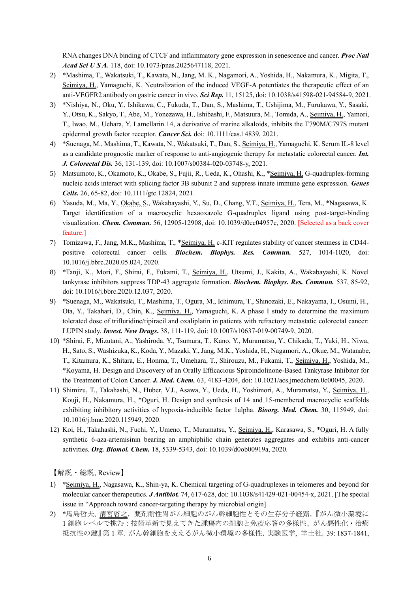RNA changes DNA binding of CTCF and inflammatory gene expression in senescence and cancer. *Proc Natl Acad Sci U S A.* 118, doi: 10.1073/pnas.2025647118, 2021.

- 2) \*Mashima, T., Wakatsuki, T., Kawata, N., Jang, M. K., Nagamori, A., Yoshida, H., Nakamura, K., Migita, T., Seimiya, H., Yamaguchi, K. Neutralization of the induced VEGF-A potentiates the therapeutic effect of an anti-VEGFR2 antibody on gastric cancer in vivo. *Sci Rep.* 11, 15125, doi: 10.1038/s41598-021-94584-9, 2021.
- 3) \*Nishiya, N., Oku, Y., Ishikawa, C., Fukuda, T., Dan, S., Mashima, T., Ushijima, M., Furukawa, Y., Sasaki, Y., Otsu, K., Sakyo, T., Abe, M., Yonezawa, H., Ishibashi, F., Matsuura, M., Tomida, A., Seimiya, H., Yamori, T., Iwao, M., Uehara, Y. Lamellarin 14, a derivative of marine alkaloids, inhibits the T790M/C797S mutant epidermal growth factor receptor. *Cancer Sci.* doi: 10.1111/cas.14839, 2021.
- 4) \*Suenaga, M., Mashima, T., Kawata, N., Wakatsuki, T., Dan, S., Seimiya, H., Yamaguchi, K. Serum IL-8 level as a candidate prognostic marker of response to anti-angiogenic therapy for metastatic colorectal cancer. *Int. J. Colorectal Dis.* 36, 131-139, doi: 10.1007/s00384-020-03748-y, 2021.
- 5) Matsumoto, K., Okamoto, K., Okabe, S., Fujii, R., Ueda, K., Ohashi, K., \*Seimiya, H. G-quadruplex-forming nucleic acids interact with splicing factor 3B subunit 2 and suppress innate immune gene expression. *Genes Cells***.** 26, 65-82, doi: 10.1111/gtc.12824, 2021.
- 6) Yasuda, M., Ma, Y., Okabe, S., Wakabayashi, Y., Su, D., Chang, Y.T., Seimiya, H., Tera, M., \*Nagasawa, K. Target identification of a macrocyclic hexaoxazole G-quadruplex ligand using post-target-binding visualization. *Chem. Commun.* 56, 12905-12908, doi: 10.1039/d0cc04957c, 2020. [Selected as a back cover feature.]
- 7) Tomizawa, F., Jang, M.K., Mashima, T., \*Seimiya, H. c-KIT regulates stability of cancer stemness in CD44 positive colorectal cancer cells. *Biochem. Biophys. Res. Commun.* 527, 1014-1020, doi: 10.1016/j.bbrc.2020.05.024, 2020.
- 8) \*Tanji, K., Mori, F., Shirai, F., Fukami, T., Seimiya, H., Utsumi, J., Kakita, A., Wakabayashi, K. Novel tankyrase inhibitors suppress TDP-43 aggregate formation. *Biochem. Biophys. Res. Commun.* 537, 85-92, doi: 10.1016/j.bbrc.2020.12.037, 2020.
- 9) \*Suenaga, M., Wakatsuki, T., Mashima, T., Ogura, M., Ichimura, T., Shinozaki, E., Nakayama, I., Osumi, H., Ota, Y., Takahari, D., Chin, K., Seimiya, H., Yamaguchi, K. A phase I study to determine the maximum tolerated dose of trifluridine/tipiracil and oxaliplatin in patients with refractory metastatic colorectal cancer: LUPIN study. *Invest. New Drugs***.** 38, 111-119, doi: 10.1007/s10637-019-00749-9, 2020.
- 10) \*Shirai, F., Mizutani, A., Yashiroda, Y., Tsumura, T., Kano, Y., Muramatsu, Y., Chikada, T., Yuki, H., Niwa, H., Sato, S., Washizuka, K., Koda, Y., Mazaki, Y., Jang, M.K., Yoshida, H., Nagamori, A., Okue, M., Watanabe, T., Kitamura, K., Shitara, E., Honma, T., Umehara, T., Shirouzu, M., Fukami, T., Seimiya, H., Yoshida, M., \*Koyama, H. Design and Discovery of an Orally Efficacious Spiroindolinone-Based Tankyrase Inhibitor for the Treatment of Colon Cancer. *J. Med. Chem.* 63, 4183-4204, doi: 10.1021/acs.jmedchem.0c00045, 2020.
- 11) Shimizu, T., Takahashi, N., Huber, V.J., Asawa, Y., Ueda, H., Yoshimori, A., Muramatsu, Y., Seimiya, H., Kouji, H., Nakamura, H., \*Oguri, H. Design and synthesis of 14 and 15-membered macrocyclic scaffolds exhibiting inhibitory activities of hypoxia-inducible factor 1alpha. *Bioorg. Med. Chem.* 30, 115949, doi: 10.1016/j.bmc.2020.115949, 2020.
- 12) Koi, H., Takahashi, N., Fuchi, Y., Umeno, T., Muramatsu, Y., Seimiya, H., Karasawa, S., \*Oguri, H. A fully synthetic 6-aza-artemisinin bearing an amphiphilic chain generates aggregates and exhibits anti-cancer activities. *Org. Biomol. Chem.* 18, 5339-5343, doi: 10.1039/d0ob00919a, 2020.

【解説・総説, Review】

- 1) \*Seimiya, H., Nagasawa, K., Shin-ya, K. Chemical targeting of G-quadruplexes in telomeres and beyond for molecular cancer therapeutics. *J Antibiot.* 74, 617-628, doi: 10.1038/s41429-021-00454-x, 2021. [The special issue in "Approach toward cancer-targeting therapy by microbial origin]
- 2) \*馬島哲夫, 清宮啓之,薬剤耐性胃がん細胞のがん幹細胞性とその生存分子経路,『がん微小環境に 1 細胞レベルで挑む:技術革新で見えてきた腫瘍内の細胞と免疫応答の多様性、がん悪性化・治療 抵抗性の鍵』第 1 章.がん幹細胞を支えるがん微小環境の多様性,実験医学, 羊土社,39: 1837-1841,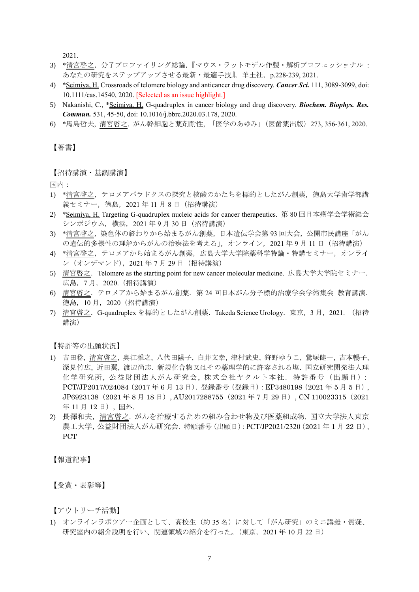2021.

- 3) \*清宮啓之,分子プロファイリング総論,『マウス・ラットモデル作製・解析プロフェッショナル : あなたの研究をステップアップさせる最新·最適手技』,羊土社, p.228-239, 2021.
- 4) \*Seimiya, H. Crossroads of telomere biology and anticancer drug discovery. *Cancer Sci.* 111, 3089-3099, doi: 10.1111/cas.14540, 2020. [Selected as an issue highlight.]
- 5) Nakanishi, C., \*Seimiya, H. G-quadruplex in cancer biology and drug discovery. *Biochem. Biophys. Res. Commun.* 531, 45-50, doi: 10.1016/j.bbrc.2020.03.178, 2020.
- 6) \*馬島哲夫, 清宮啓之. がん幹細胞と薬剤耐性, 「医学のあゆみ」(医歯薬出版)273, 356-361, 2020.

【著書】

【招待講演・基調講演】

国内:

- 1) \*清宮啓之,テロメアパラドクスの探究と核酸のかたちを標的としたがん創薬,徳島大学歯学部講 義セミナー, 徳島, 2021年11月8日 (招待講演)
- 2) \*Seimiya, H. Targeting G-quadruplex nucleic acids for cancer therapeutics. 第 80 回日本癌学会学術総会 シンポジウム,横浜,2021 年 9 月 30 日(招待講演)
- 3) \*清宮啓之,染色体の終わりから始まるがん創薬,日本遺伝学会第 93 回大会,公開市民講座「がん の遺伝的多様性の理解からがんの治療法を考える」,オンライン,2021年9月11日 (招待講演)
- 4) \*清宮啓之,テロメアから始まるがん創薬,広島大学大学院薬科学特論・特講セミナー,オンライ ン(オンデマンド),2021 年 7 月 29 日(招待講演)
- 5) 清宮啓之.Telomere as the starting point for new cancer molecular medicine. 広島大学大学院セミナー. 広島,7 月,2020.(招待講演)
- 6) 清宮啓之.テロメアから始まるがん創薬.第 24 回日本がん分子標的治療学会学術集会 教育講演. 徳島,10 月,2020(招待講演)
- 7) 清宮啓之.G-quadruplex を標的としたがん創薬.Takeda Science Urology.東京,3 月,2021. (招待 講演)

【特許等の出願状況】

- 1) 吉田稔, 清宮啓之, 奥江雅之, 八代田陽子, 白井文幸, 津村武史, 狩野ゆうこ, 鷲塚健一, 吉本暢子, 深見竹広, 近田翼, 渡辺尚志. 新規化合物又はその薬理学的に許容される塩. 国立研究開発法人理 化学研究所, 公益財団法人がん研究会, 株式会社ヤクルト本社.特許番号(出願日): PCT/JP2017/024084(2017 年 6 月 13 日).登録番号(登録日):EP3480198(2021 年 5 月 5 日), JP6923138 (2021年 8 月 18 日), AU2017288755 (2021 年 7 月 29 日), CN 110023315 (2021 年 11 月 12 日), 国外.
- 2) 長澤和夫,清宮啓之. がんを治療するための組み合わせ物及び医薬組成物. 国立大学法人東京 農工大学. 公益財団法人がん研究会. 特願番号 (出願日): PCT/JP2021/2320 (2021年1月22日), PCT

【報道記事】

【受賞・表彰等】

【アウトリーチ活動】

1) オンラインラボツアー企画として、高校生(約 35 名)に対して「がん研究」のミニ講義・質疑、 研究室内の紹介説明を行い、関連領域の紹介を行った。(東京,2021 年 10 月 22 日)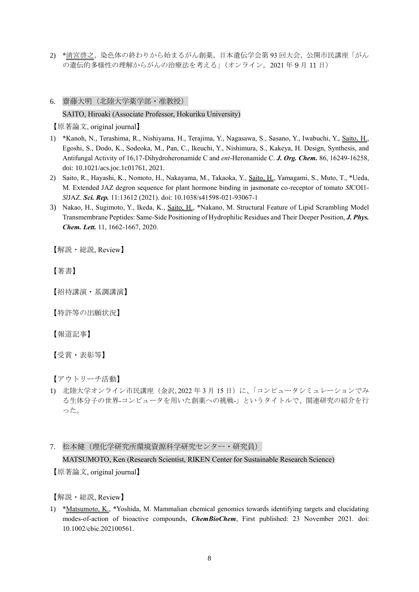- 2) \*清宮啓之,染色体の終わりから始まるがん創薬,日本遺伝学会第 93 回大会,公開市民講座「がん の遺伝的多様性の理解からがんの治療法を考える」(オンライン,2021年9月11日)
- 6. 齋藤大明(北陸大学薬学部・准教授)

## SAITO, Hiroaki (Associate Professor, Hokuriku University)

【原著論文, original journal】

- 1) \*Kanoh, N., Terashima, R., Nishiyama, H., Terajima, Y., Nagasawa, S., Sasano, Y., Iwabuchi, Y., Saito, H., Egoshi, S., Dodo, K., Sodeoka, M., Pan, C., Ikeuchi, Y., Nishimura, S., Kakeya, H. Design, Synthesis, and Antifungal Activity of 16,17-Dihydroheronamide C and *ent*-Heronamide C. *J. Org. Chem.* 86, 16249-16258, doi: 10.1021/acs.joc.1c01761, 2021.
- 2) Saito, R., Hayashi, K., Nomoto, H., Nakayama, M., Takaoka, Y., Saito, H., Yamagami, S., Muto, T., \*Ueda, M. Extended JAZ degron sequence for plant hormone binding in jasmonate co-receptor of tomato *Sl*COI1- *Sl*JAZ. *Sci. Rep.* 11:13612 (2021). doi: 10.1038/s41598-021-93067-1
- 3) Nakao, H., Sugimoto, Y., Ikeda, K., Saito, H., \*Nakano, M. Structural Feature of Lipid Scrambling Model Transmembrane Peptides: Same-Side Positioning of Hydrophilic Residues and Their Deeper Position, *J. Phys. Chem. Lett.* 11, 1662-1667, 2020.

【解説・総説, Review】

【著書】

【招待講演・基調講演】

【特許等の出願状況】

【報道記事】

【受賞・表彰等】

【アウトリーチ活動】

- 1) 北陸大学オンライン市民講座(金沢, 2022 年 3 月 15 日)に、「コンピュータシミュレーションでみ る生体分子の世界-コンピュータを用いた創薬への挑戦-」というタイトルで、関連研究の紹介を行 った。
- 7. 松本健(理化学研究所環境資源科学研究センター・研究員) MATSUMOTO, Ken (Research Scientist, RIKEN Center for Sustainable Research Science) 【原著論文, original journal】

【解説・総説, Review】

1) \*Matsumoto, K., \*Yoshida, M. Mammalian chemical genomics towards identifying targets and elucidating modes-of-action of bioactive compounds, *ChemBioChem*, First published: 23 November 2021. doi: 10.1002/cbic.202100561.